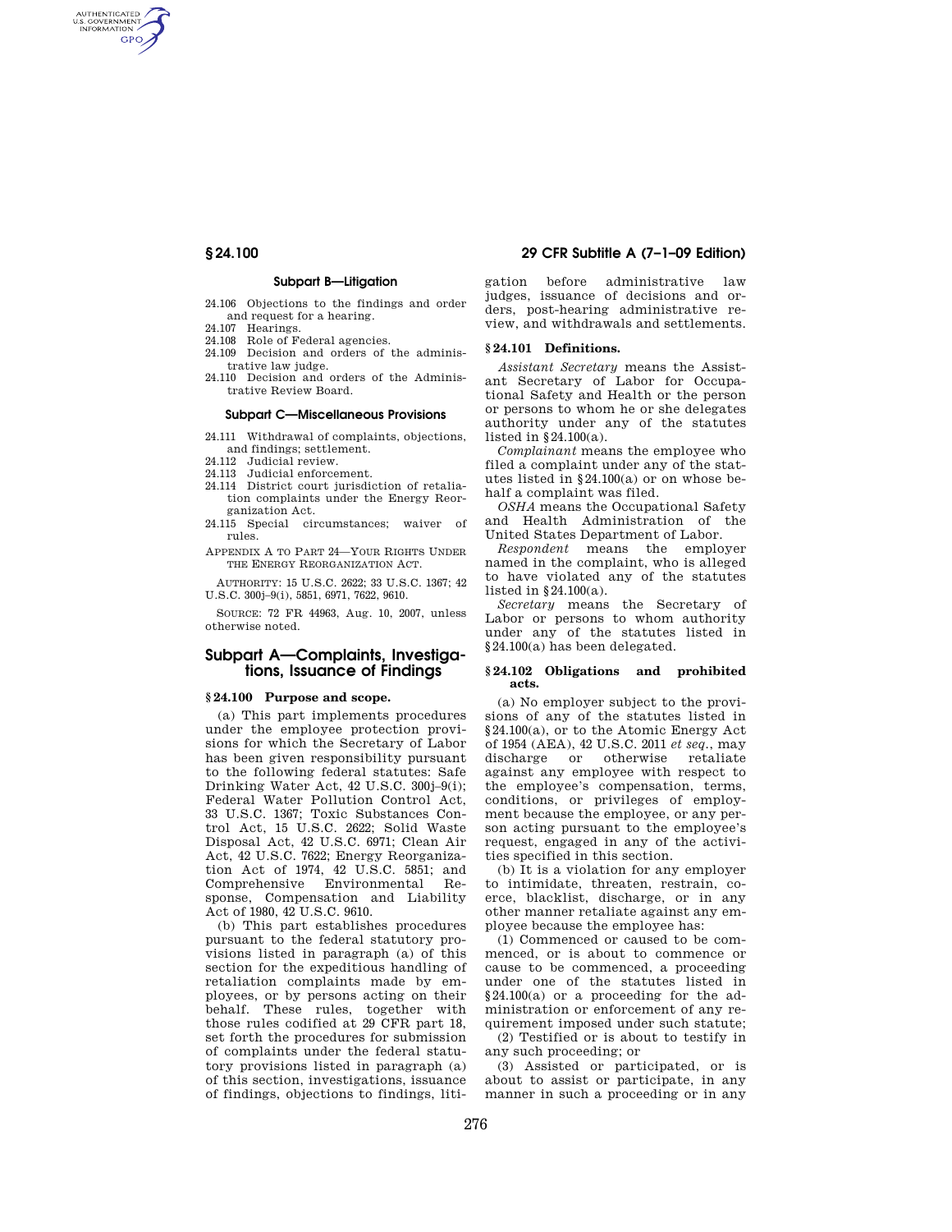AUTHENTICATED<br>U.S. GOVERNMENT<br>INFORMATION **GPO** 

#### **Subpart B—Litigation**

24.106 Objections to the findings and order and request for a hearing.

- 24.107 Hearings.
- 24.108 Role of Federal agencies.
- 24.109 Decision and orders of the administrative law judge.
- 24.110 Decision and orders of the Administrative Review Board.

#### **Subpart C—Miscellaneous Provisions**

- 24.111 Withdrawal of complaints, objections, and findings; settlement.
- 24.112 Judicial review.
- 24.113 Judicial enforcement.
- 24.114 District court jurisdiction of retaliation complaints under the Energy Reorganization Act.
- 24.115 Special circumstances; waiver of rules.
- APPENDIX A TO PART 24—YOUR RIGHTS UNDER THE ENERGY REORGANIZATION ACT.

AUTHORITY: 15 U.S.C. 2622; 33 U.S.C. 1367; 42 U.S.C. 300j–9(i), 5851, 6971, 7622, 9610.

SOURCE: 72 FR 44963, Aug. 10, 2007, unless otherwise noted.

# **Subpart A—Complaints, Investigations, Issuance of Findings**

#### **§ 24.100 Purpose and scope.**

(a) This part implements procedures under the employee protection provisions for which the Secretary of Labor has been given responsibility pursuant to the following federal statutes: Safe Drinking Water Act, 42 U.S.C. 300i-9(i): Federal Water Pollution Control Act, 33 U.S.C. 1367; Toxic Substances Control Act, 15 U.S.C. 2622; Solid Waste Disposal Act, 42 U.S.C. 6971; Clean Air Act, 42 U.S.C. 7622; Energy Reorganization Act of 1974, 42 U.S.C. 5851; and<br>Comprehensive Environmental Re-Comprehensive Environmental sponse, Compensation and Liability Act of 1980, 42 U.S.C. 9610.

(b) This part establishes procedures pursuant to the federal statutory provisions listed in paragraph (a) of this section for the expeditious handling of retaliation complaints made by employees, or by persons acting on their behalf. These rules, together with those rules codified at 29 CFR part 18, set forth the procedures for submission of complaints under the federal statutory provisions listed in paragraph (a) of this section, investigations, issuance of findings, objections to findings, liti-

# **§ 24.100 29 CFR Subtitle A (7–1–09 Edition)**

gation before administrative law judges, issuance of decisions and orders, post-hearing administrative review, and withdrawals and settlements.

## **§ 24.101 Definitions.**

*Assistant Secretary* means the Assistant Secretary of Labor for Occupational Safety and Health or the person or persons to whom he or she delegates authority under any of the statutes listed in §24.100(a).

*Complainant* means the employee who filed a complaint under any of the statutes listed in §24.100(a) or on whose behalf a complaint was filed.

*OSHA* means the Occupational Safety and Health Administration of the United States Department of Labor.

*Respondent* means the employer named in the complaint, who is alleged to have violated any of the statutes listed in §24.100(a).

*Secretary* means the Secretary of Labor or persons to whom authority under any of the statutes listed in §24.100(a) has been delegated.

#### **§ 24.102 Obligations and prohibited acts.**

(a) No employer subject to the provisions of any of the statutes listed in §24.100(a), or to the Atomic Energy Act of 1954 (AEA), 42 U.S.C. 2011 *et seq.*, may discharge or otherwise retaliate against any employee with respect to the employee's compensation, terms, conditions, or privileges of employment because the employee, or any person acting pursuant to the employee's request, engaged in any of the activities specified in this section.

(b) It is a violation for any employer to intimidate, threaten, restrain, coerce, blacklist, discharge, or in any other manner retaliate against any employee because the employee has:

(1) Commenced or caused to be commenced, or is about to commence or cause to be commenced, a proceeding under one of the statutes listed in §24.100(a) or a proceeding for the administration or enforcement of any requirement imposed under such statute;

(2) Testified or is about to testify in any such proceeding; or

(3) Assisted or participated, or is about to assist or participate, in any manner in such a proceeding or in any